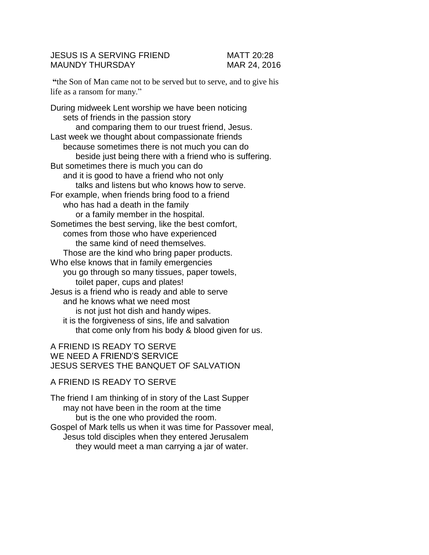# JESUS IS A SERVING FRIEND MATT 20:28 MAUNDY THURSDAY MAR 24, 2016

**"**the Son of Man came not to be served but to serve, and to give his life as a ransom for many."

During midweek Lent worship we have been noticing sets of friends in the passion story and comparing them to our truest friend, Jesus. Last week we thought about compassionate friends because sometimes there is not much you can do beside just being there with a friend who is suffering. But sometimes there is much you can do and it is good to have a friend who not only talks and listens but who knows how to serve. For example, when friends bring food to a friend who has had a death in the family or a family member in the hospital. Sometimes the best serving, like the best comfort, comes from those who have experienced the same kind of need themselves. Those are the kind who bring paper products. Who else knows that in family emergencies you go through so many tissues, paper towels, toilet paper, cups and plates! Jesus is a friend who is ready and able to serve and he knows what we need most is not just hot dish and handy wipes. it is the forgiveness of sins, life and salvation that come only from his body & blood given for us.

# A FRIEND IS READY TO SERVE WE NEED A FRIEND'S SERVICE JESUS SERVES THE BANQUET OF SALVATION

#### A FRIEND IS READY TO SERVE

The friend I am thinking of in story of the Last Supper may not have been in the room at the time but is the one who provided the room. Gospel of Mark tells us when it was time for Passover meal, Jesus told disciples when they entered Jerusalem they would meet a man carrying a jar of water.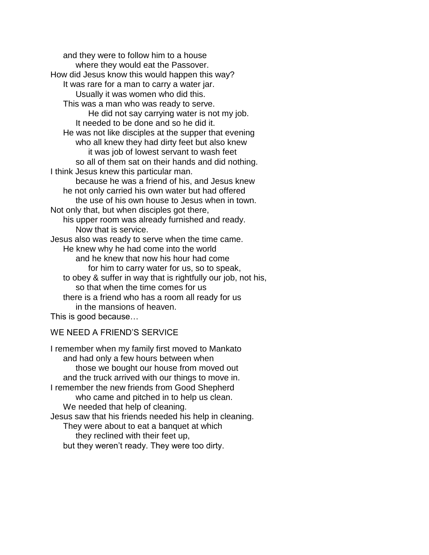and they were to follow him to a house where they would eat the Passover. How did Jesus know this would happen this way? It was rare for a man to carry a water jar. Usually it was women who did this. This was a man who was ready to serve. He did not say carrying water is not my job. It needed to be done and so he did it. He was not like disciples at the supper that evening who all knew they had dirty feet but also knew it was job of lowest servant to wash feet so all of them sat on their hands and did nothing. I think Jesus knew this particular man. because he was a friend of his, and Jesus knew he not only carried his own water but had offered the use of his own house to Jesus when in town. Not only that, but when disciples got there, his upper room was already furnished and ready. Now that is service. Jesus also was ready to serve when the time came. He knew why he had come into the world and he knew that now his hour had come for him to carry water for us, so to speak, to obey & suffer in way that is rightfully our job, not his, so that when the time comes for us there is a friend who has a room all ready for us in the mansions of heaven. This is good because…

### WE NEED A FRIEND'S SERVICE

I remember when my family first moved to Mankato and had only a few hours between when those we bought our house from moved out and the truck arrived with our things to move in. I remember the new friends from Good Shepherd who came and pitched in to help us clean. We needed that help of cleaning. Jesus saw that his friends needed his help in cleaning. They were about to eat a banquet at which they reclined with their feet up, but they weren't ready. They were too dirty.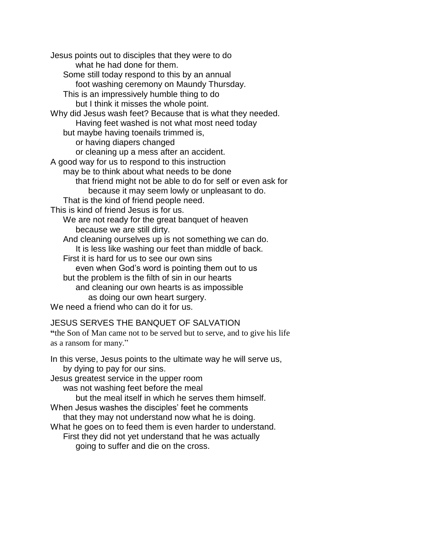Jesus points out to disciples that they were to do what he had done for them. Some still today respond to this by an annual foot washing ceremony on Maundy Thursday. This is an impressively humble thing to do but I think it misses the whole point. Why did Jesus wash feet? Because that is what they needed. Having feet washed is not what most need today but maybe having toenails trimmed is, or having diapers changed or cleaning up a mess after an accident. A good way for us to respond to this instruction may be to think about what needs to be done that friend might not be able to do for self or even ask for because it may seem lowly or unpleasant to do. That is the kind of friend people need. This is kind of friend Jesus is for us. We are not ready for the great banquet of heaven because we are still dirty. And cleaning ourselves up is not something we can do. It is less like washing our feet than middle of back. First it is hard for us to see our own sins even when God's word is pointing them out to us but the problem is the filth of sin in our hearts and cleaning our own hearts is as impossible as doing our own heart surgery. We need a friend who can do it for us.

# JESUS SERVES THE BANQUET OF SALVATION

**"**the Son of Man came not to be served but to serve, and to give his life as a ransom for many."

In this verse, Jesus points to the ultimate way he will serve us, by dying to pay for our sins. Jesus greatest service in the upper room

was not washing feet before the meal

but the meal itself in which he serves them himself.

When Jesus washes the disciples' feet he comments that they may not understand now what he is doing.

What he goes on to feed them is even harder to understand. First they did not yet understand that he was actually going to suffer and die on the cross.